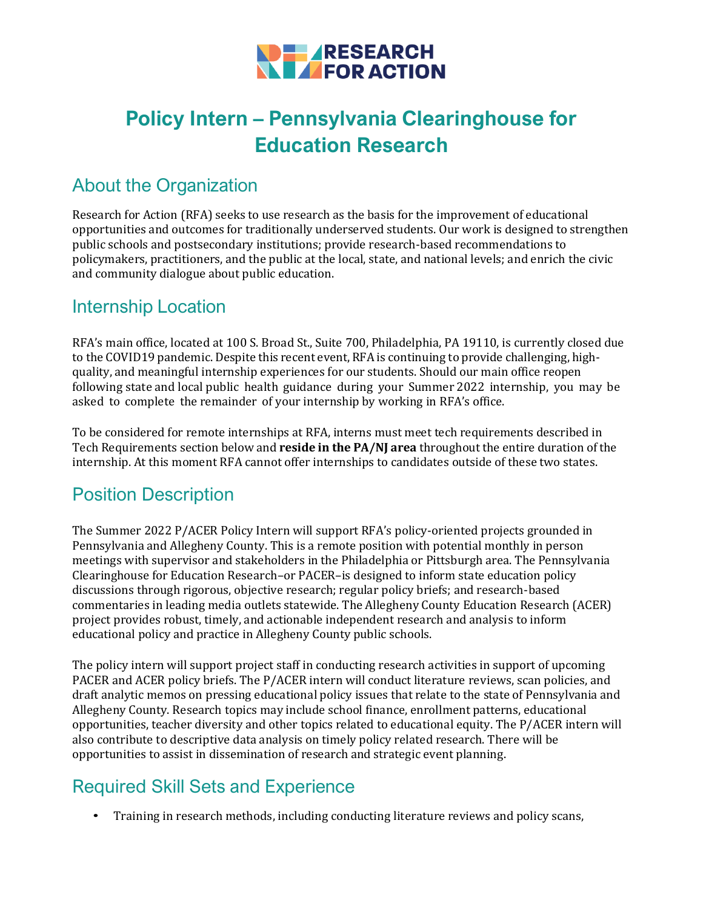

# **Policy Intern – Pennsylvania Clearinghouse for Education Research**

## About the Organization

Research for Action (RFA) seeks to use research as the basis for the improvement of educational opportunities and outcomes for traditionally underserved students. Our work is designed to strengthen public schools and postsecondary institutions; provide research-based recommendations to policymakers, practitioners, and the public at the local, state, and national levels; and enrich the civic and community dialogue about public education.

#### Internship Location

RFA's main office, located at 100 S. Broad St., Suite 700, Philadelphia, PA 19110, is currently closed due to the COVID19 pandemic. Despite this recent event, RFA is continuing to provide challenging, highquality, and meaningful internship experiences for our students. Should our main office reopen following state and local public health guidance during your Summer 2022 internship, you may be asked to complete the remainder of your internship by working in RFA's office.

To be considered for remote internships at RFA, interns must meet tech requirements described in Tech Requirements section below and **reside in the PA/NJ area** throughout the entire duration of the internship. At this moment RFA cannot offer internships to candidates outside of these two states.

## Position Description

The Summer 2022 P/ACER Policy Intern will support RFA's policy-oriented projects grounded in Pennsylvania and Allegheny County. This is a remote position with potential monthly in person meetings with supervisor and stakeholders in the Philadelphia or Pittsburgh area. The Pennsylvania Clearinghouse for Education Research–or PACER–is designed to inform state education policy discussions through rigorous, objective research; regular policy briefs; and research-based commentaries in leading media outlets statewide. The Allegheny County Education Research (ACER) project provides robust, timely, and actionable independent research and analysis to inform educational policy and practice in Allegheny County public schools.

The policy intern will support project staff in conducting research activities in support of upcoming PACER and ACER policy briefs. The P/ACER intern will conduct literature reviews, scan policies, and draft analytic memos on pressing educational policy issues that relate to the state of Pennsylvania and Allegheny County. Research topics may include school finance, enrollment patterns, educational opportunities, teacher diversity and other topics related to educational equity. The P/ACER intern will also contribute to descriptive data analysis on timely policy related research. There will be opportunities to assist in dissemination of research and strategic event planning.

# Required Skill Sets and Experience

• Training in research methods, including conducting literature reviews and policy scans,